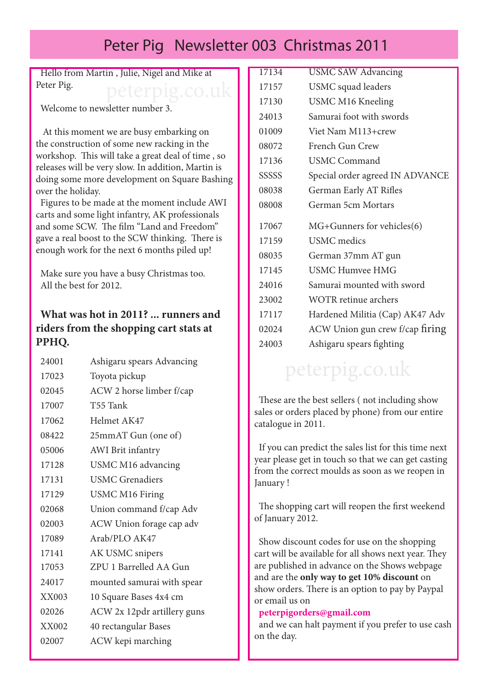# Peter Pig Newsletter 003 Christmas 2011

Hello from Martin , Julie, Nigel and Mike at Peter Pig. peterpig.co.uk

Welcome to newsletter number 3.

 At this moment we are busy embarking on the construction of some new racking in the workshop. This will take a great deal of time , so releases will be very slow. In addition, Martin is doing some more development on Square Bashing over the holiday.

Figures to be made at the moment include AWI carts and some light infantry, AK professionals and some SCW. The film "Land and Freedom" gave a real boost to the SCW thinking. There is enough work for the next 6 months piled up!

Make sure you have a busy Christmas too. All the best for 2012.

### **What was hot in 2011? ... runners and riders from the shopping cart stats at PPHQ.**

| 24001 | Ashigaru spears Advancing   |
|-------|-----------------------------|
| 17023 | Toyota pickup               |
| 02045 | ACW 2 horse limber f/cap    |
| 17007 | T55 Tank                    |
| 17062 | Helmet AK47                 |
| 08422 | 25mmAT Gun (one of)         |
| 05006 | <b>AWI</b> Brit infantry    |
| 17128 | USMC M16 advancing          |
| 17131 | <b>USMC Grenadiers</b>      |
| 17129 | <b>USMC M16 Firing</b>      |
| 02068 | Union command f/cap Adv     |
| 02003 | ACW Union forage cap adv    |
| 17089 | Arab/PLO AK47               |
| 17141 | AK USMC snipers             |
| 17053 | ZPU 1 Barrelled AA Gun      |
| 24017 | mounted samurai with spear  |
| XX003 | 10 Square Bases 4x4 cm      |
| 02026 | ACW 2x 12pdr artillery guns |
| XX002 | 40 rectangular Bases        |
| 02007 | ACW kepi marching           |
|       |                             |

| <b>USMC SAW Advancing</b>       |
|---------------------------------|
| USMC squad leaders              |
| <b>USMC M16 Kneeling</b>        |
| Samurai foot with swords        |
| Viet Nam M113+crew              |
| French Gun Crew                 |
| <b>USMC Command</b>             |
| Special order agreed IN ADVANCE |
| German Early AT Rifles          |
| German 5cm Mortars              |
| MG+Gunners for vehicles(6)      |
| <b>USMC</b> medics              |
| German 37mm AT gun              |
| USMC Humvee HMG                 |
| Samurai mounted with sword      |
| <b>WOTR</b> retinue archers     |
| Hardened Militia (Cap) AK47 Adv |
| ACW Union gun crew f/cap firing |
| Ashigaru spears fighting        |
|                                 |

# peterpig.co.uk

These are the best sellers ( not including show sales or orders placed by phone) from our entire catalogue in 2011.

If you can predict the sales list for this time next year please get in touch so that we can get casting from the correct moulds as soon as we reopen in January !

The shopping cart will reopen the first weekend of January 2012.

Show discount codes for use on the shopping cart will be available for all shows next year. They are published in advance on the Shows webpage and are the **only way to get 10% discount** on show orders. There is an option to pay by Paypal or email us on

#### **peterpigorders@gmail.com**

and we can halt payment if you prefer to use cash on the day.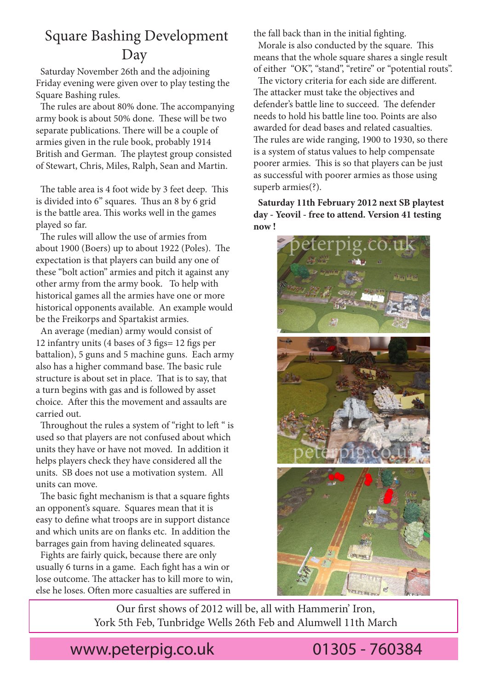## Square Bashing Development Day

Saturday November 26th and the adjoining Friday evening were given over to play testing the Square Bashing rules.

The rules are about 80% done. The accompanying army book is about 50% done. These will be two separate publications. There will be a couple of armies given in the rule book, probably 1914 British and German. The playtest group consisted of Stewart, Chris, Miles, Ralph, Sean and Martin.

The table area is 4 foot wide by 3 feet deep. This is divided into 6" squares. Thus an 8 by 6 grid is the battle area. This works well in the games played so far.

The rules will allow the use of armies from about 1900 (Boers) up to about 1922 (Poles). The expectation is that players can build any one of these "bolt action" armies and pitch it against any other army from the army book. To help with historical games all the armies have one or more historical opponents available. An example would be the Freikorps and Spartakist armies.

An average (median) army would consist of 12 infantry units (4 bases of 3 figs= 12 figs per battalion), 5 guns and 5 machine guns. Each army also has a higher command base. The basic rule structure is about set in place. That is to say, that a turn begins with gas and is followed by asset choice. After this the movement and assaults are carried out.

Throughout the rules a system of "right to left " is used so that players are not confused about which units they have or have not moved. In addition it helps players check they have considered all the units. SB does not use a motivation system. All units can move.

The basic fight mechanism is that a square fights an opponent's square. Squares mean that it is easy to define what troops are in support distance and which units are on flanks etc. In addition the barrages gain from having delineated squares.

Fights are fairly quick, because there are only usually 6 turns in a game. Each fight has a win or lose outcome. The attacker has to kill more to win, else he loses. Often more casualties are suffered in

the fall back than in the initial fighting.

Morale is also conducted by the square. This means that the whole square shares a single result of either "OK", "stand", "retire" or "potential routs".

The victory criteria for each side are different. The attacker must take the objectives and defender's battle line to succeed. The defender needs to hold his battle line too. Points are also awarded for dead bases and related casualties. The rules are wide ranging, 1900 to 1930, so there is a system of status values to help compensate poorer armies. This is so that players can be just as successful with poorer armies as those using superb armies(?).

**Saturday 11th February 2012 next SB playtest day - Yeovil - free to attend. Version 41 testing now !**



Our first shows of 2012 will be, all with Hammerin' Iron, York 5th Feb, Tunbridge Wells 26th Feb and Alumwell 11th March

www.peterpig.co.uk 01305 - 760384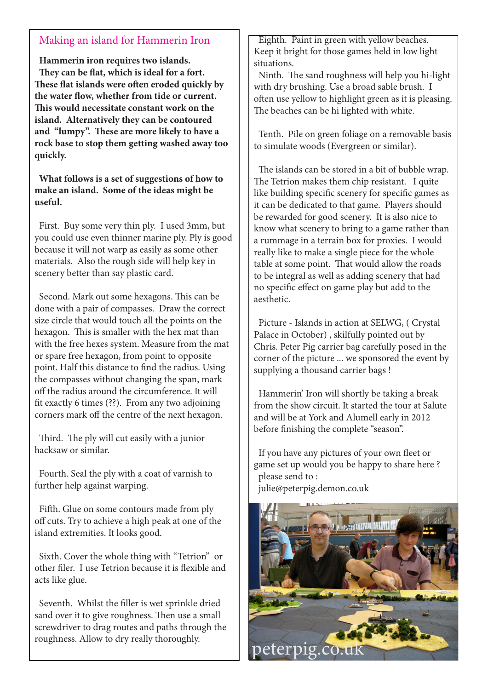### Making an island for Hammerin Iron

**Hammerin iron requires two islands. They can be flat, which is ideal for a fort. These flat islands were often eroded quickly by the water flow, whether from tide or current. This would necessitate constant work on the island. Alternatively they can be contoured and "lumpy". These are more likely to have a rock base to stop them getting washed away too quickly.** 

**What follows is a set of suggestions of how to make an island. Some of the ideas might be useful.**

First. Buy some very thin ply. I used 3mm, but you could use even thinner marine ply. Ply is good because it will not warp as easily as some other materials. Also the rough side will help key in scenery better than say plastic card.

Second. Mark out some hexagons. This can be done with a pair of compasses. Draw the correct size circle that would touch all the points on the hexagon. This is smaller with the hex mat than with the free hexes system. Measure from the mat or spare free hexagon, from point to opposite point. Half this distance to find the radius. Using the compasses without changing the span, mark off the radius around the circumference. It will fit exactly 6 times (??). From any two adjoining corners mark off the centre of the next hexagon.

Third. The ply will cut easily with a junior hacksaw or similar.

Fourth. Seal the ply with a coat of varnish to further help against warping.

Fifth. Glue on some contours made from ply off cuts. Try to achieve a high peak at one of the island extremities. It looks good.

Sixth. Cover the whole thing with "Tetrion" or other filer. I use Tetrion because it is flexible and acts like glue.

Seventh. Whilst the filler is wet sprinkle dried sand over it to give roughness. Then use a small screwdriver to drag routes and paths through the roughness. Allow to dry really thoroughly.

Eighth. Paint in green with yellow beaches. Keep it bright for those games held in low light situations.

Ninth. The sand roughness will help you hi-light with dry brushing. Use a broad sable brush. I often use yellow to highlight green as it is pleasing. The beaches can be hi lighted with white.

Tenth. Pile on green foliage on a removable basis to simulate woods (Evergreen or similar).

The islands can be stored in a bit of bubble wrap. The Tetrion makes them chip resistant. I quite like building specific scenery for specific games as it can be dedicated to that game. Players should be rewarded for good scenery. It is also nice to know what scenery to bring to a game rather than a rummage in a terrain box for proxies. I would really like to make a single piece for the whole table at some point. That would allow the roads to be integral as well as adding scenery that had no specific effect on game play but add to the aesthetic.

Picture - Islands in action at SELWG, ( Crystal Palace in October) , skilfully pointed out by Chris. Peter Pig carrier bag carefully posed in the corner of the picture ... we sponsored the event by supplying a thousand carrier bags !

Hammerin' Iron will shortly be taking a break from the show circuit. It started the tour at Salute and will be at York and Alumell early in 2012 before finishing the complete "season".

If you have any pictures of your own fleet or game set up would you be happy to share here ? please send to : julie@peterpig.demon.co.uk